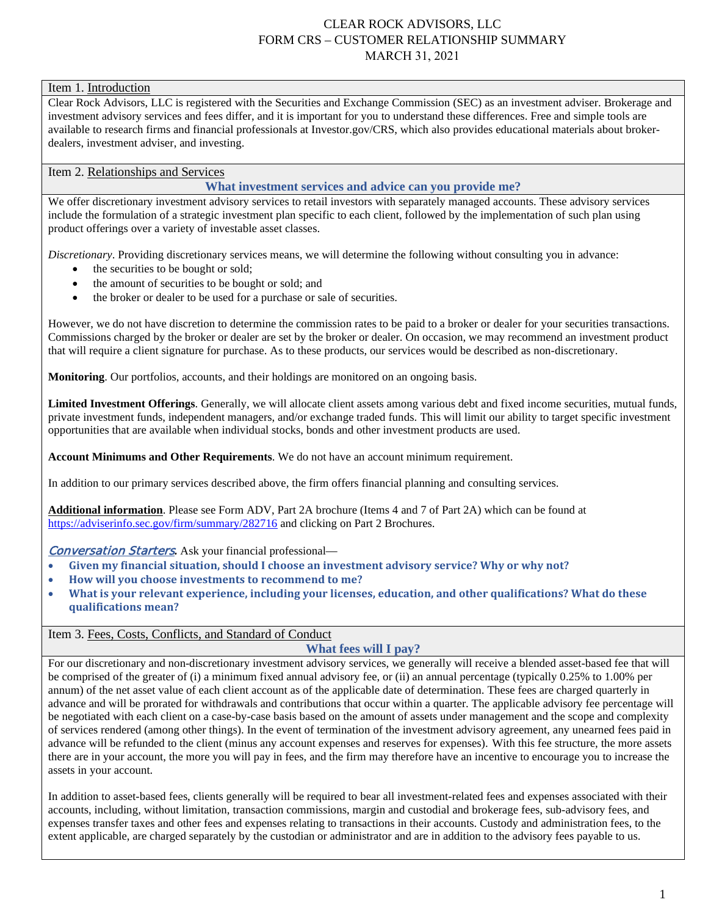### CLEAR ROCK ADVISORS, LLC FORM CRS – CUSTOMER RELATIONSHIP SUMMARY MARCH 31, 2021

#### Item 1. Introduction

Clear Rock Advisors, LLC is registered with the Securities and Exchange Commission (SEC) as an investment adviser. Brokerage and investment advisory services and fees differ, and it is important for you to understand these differences. Free and simple tools are available to research firms and financial professionals at Investor.gov/CRS, which also provides educational materials about brokerdealers, investment adviser, and investing.

## Item 2. Relationships and Services

#### **What investment services and advice can you provide me?**

We offer discretionary investment advisory services to retail investors with separately managed accounts. These advisory services include the formulation of a strategic investment plan specific to each client, followed by the implementation of such plan using product offerings over a variety of investable asset classes.

*Discretionary*. Providing discretionary services means, we will determine the following without consulting you in advance:

- the securities to be bought or sold;
- the amount of securities to be bought or sold; and
- the broker or dealer to be used for a purchase or sale of securities.

However, we do not have discretion to determine the commission rates to be paid to a broker or dealer for your securities transactions. Commissions charged by the broker or dealer are set by the broker or dealer. On occasion, we may recommend an investment product that will require a client signature for purchase. As to these products, our services would be described as non-discretionary.

**Monitoring**. Our portfolios, accounts, and their holdings are monitored on an ongoing basis.

**Limited Investment Offerings**. Generally, we will allocate client assets among various debt and fixed income securities, mutual funds, private investment funds, independent managers, and/or exchange traded funds. This will limit our ability to target specific investment opportunities that are available when individual stocks, bonds and other investment products are used.

**Account Minimums and Other Requirements**. We do not have an account minimum requirement.

In addition to our primary services described above, the firm offers financial planning and consulting services.

**Additional information**. Please see Form ADV, Part 2A brochure (Items 4 and 7 of Part 2A) which can be found at <https://adviserinfo.sec.gov/firm/summary/282716> and clicking on Part 2 Brochures.

Conversation Starters*.* Ask your financial professional—

- **Given my financial situation, should I choose an investment advisory service? Why or why not?**
- **How will you choose investments to recommend to me?**
- **What is your relevant experience, including your licenses, education, and other qualifications? What do these qualifications mean?**

#### Item 3. Fees, Costs, Conflicts, and Standard of Conduct

**What fees will I pay?**

For our discretionary and non-discretionary investment advisory services, we generally will receive a blended asset-based fee that will be comprised of the greater of (i) a minimum fixed annual advisory fee, or (ii) an annual percentage (typically 0.25% to 1.00% per annum) of the net asset value of each client account as of the applicable date of determination. These fees are charged quarterly in advance and will be prorated for withdrawals and contributions that occur within a quarter. The applicable advisory fee percentage will be negotiated with each client on a case-by-case basis based on the amount of assets under management and the scope and complexity of services rendered (among other things). In the event of termination of the investment advisory agreement, any unearned fees paid in advance will be refunded to the client (minus any account expenses and reserves for expenses). With this fee structure, the more assets there are in your account, the more you will pay in fees, and the firm may therefore have an incentive to encourage you to increase the assets in your account.

In addition to asset-based fees, clients generally will be required to bear all investment-related fees and expenses associated with their accounts, including, without limitation, transaction commissions, margin and custodial and brokerage fees, sub-advisory fees, and expenses transfer taxes and other fees and expenses relating to transactions in their accounts. Custody and administration fees, to the extent applicable, are charged separately by the custodian or administrator and are in addition to the advisory fees payable to us.